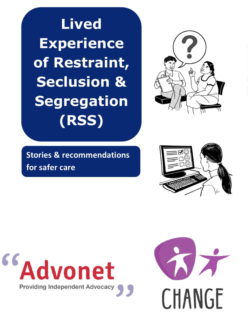**Lived Experience of Restraint, Seclusion & Segregation (RSS)**



**Stories & recommendations for safer care**





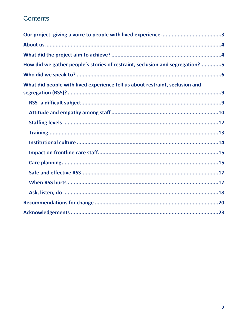# Contents

| How did we gather people's stories of restraint, seclusion and segregation?5 |
|------------------------------------------------------------------------------|
|                                                                              |
| What did people with lived experience tell us about restraint, seclusion and |
|                                                                              |
|                                                                              |
|                                                                              |
|                                                                              |
|                                                                              |
|                                                                              |
|                                                                              |
|                                                                              |
|                                                                              |
|                                                                              |
|                                                                              |
|                                                                              |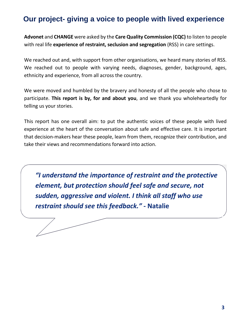# <span id="page-2-0"></span>**Our project- giving a voice to people with lived experience**

**Advonet** and **CHANGE** were asked by the **Care Quality Commission (CQC)** to listen to people with real life **experience of restraint, seclusion and segregation** (RSS) in care settings.

We reached out and, with support from other organisations, we heard many stories of RSS. We reached out to people with varying needs, diagnoses, gender, background, ages, ethnicity and experience, from all across the country.

We were moved and humbled by the bravery and honesty of all the people who chose to participate. **This report is by, for and about you**, and we thank you wholeheartedly for telling us your stories.

This report has one overall aim: to put the authentic voices of these people with lived experience at the heart of the conversation about safe and effective care. It is important that decision-makers hear these people, learn from them, recognize their contribution, and take their views and recommendations forward into action.

*"I understand the importance of restraint and the protective element, but protection should feel safe and secure, not sudden, aggressive and violent. I think all staff who use restraint should see this feedback."* **- Natalie**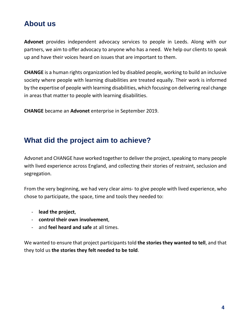# <span id="page-3-0"></span>**About us**

**Advonet** provides independent advocacy services to people in Leeds. Along with our partners, we aim to offer advocacy to anyone who has a need. We help our clients to speak up and have their voices heard on issues that are important to them.

**CHANGE** is a human rights organization led by disabled people, working to build an inclusive society where people with learning disabilities are treated equally. Their work is informed by the expertise of people with learning disabilities, which focusing on delivering real change in areas that matter to people with learning disabilities.

**CHANGE** became an **Advonet** enterprise in September 2019.

# <span id="page-3-1"></span>**What did the project aim to achieve?**

Advonet and CHANGE have worked together to deliver the project, speaking to many people with lived experience across England, and collecting their stories of restraint, seclusion and segregation.

From the very beginning, we had very clear aims- to give people with lived experience, who chose to participate, the space, time and tools they needed to:

- **lead the project**,
- **control their own involvement**,
- and **feel heard and safe** at all times.

We wanted to ensure that project participants told **the stories they wanted to tell**, and that they told us **the stories they felt needed to be told**.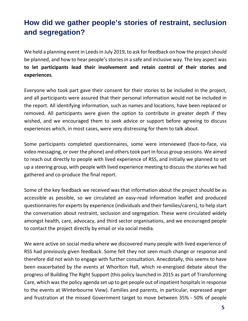# <span id="page-4-0"></span>**How did we gather people's stories of restraint, seclusion and segregation?**

We held a planning event in Leeds in July 2019, to ask for feedback on how the project should be planned, and how to hear people's stories in a safe and inclusive way. The key aspect was **to let participants lead their involvement and retain control of their stories and experiences**.

Everyone who took part gave their consent for their stories to be included in the project, and all participants were assured that their personal information would not be included in the report. All identifying information, such as names and locations, have been replaced or removed. All participants were given the option to contribute in greater depth if they wished, and we encouraged them to seek advice or support before agreeing to discuss experiences which, in most cases, were very distressing for them to talk about.

Some participants completed questionnaires, some were interviewed (face-to-face, via video messaging, or over the phone) and others took part in focus group sessions. We aimed to reach out directly to people with lived experience of RSS, and initially we planned to set up a steering group, with people with lived experience meeting to discuss the stories we had gathered and co-produce the final report.

Some of the key feedback we received was that information about the project should be as accessible as possible, so we circulated an easy-read information leaflet and produced questionnaires for experts by experience (individuals and their families/carers), to help start the conversation about restraint, seclusion and segregation. These were circulated widely amongst health, care, advocacy, and third sector organisations, and we encouraged people to contact the project directly by email or via social media.

We were active on social media where we discovered many people with lived experience of RSS had previously given feedback. Some felt they not seen much change or response and therefore did not wish to engage with further consultation. Anecdotally, this seems to have been exacerbated by the events at Whorlton Hall, which re-energised debate about the progress of Building The Right Support (this policy launched in 2015 as part of Transforming Care, which wasthe policy agenda set up to get people out of inpatient hospitals in response to the events at Winterbourne View). Families and parents, in particular, expressed anger and frustration at the missed Government target to move between 35% - 50% of people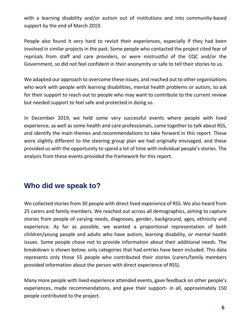with a learning disability and/or autism out of institutions and into community-based support by the end of March 2019.

People also found it very hard to revisit their experiences, especially if they had been involved in similar projects in the past. Some people who contacted the project cited fear of reprisals from staff and care providers, or were mistrustful of the CQC and/or the Government, so did not feel confident in their anonymity or safe to tell their stories to us.

We adapted our approach to overcome these issues, and reached out to other organisations who work with people with learning disabilities, mental health problems or autism, to ask for their support to reach out to people who may want to contribute to the current review but needed support to feel safe and protected in doing so.

In December 2019, we held some very successful events where people with lived experience, as well as some health and care professionals, came together to talk about RSS, and identify the main themes and recommendations to take forward in this report. These were slightly different to the steering group plan we had originally envisaged, and these provided us with the opportunity to spend a lot of time with individual people's stories. The analysis from these events provided the framework for this report.

## <span id="page-5-0"></span>**Who did we speak to?**

We collected stories from 30 people with direct lived experience of RSS. We also heard from 25 carers and family members. We reached out across all demographics, aiming to capture stories from people of varying needs, diagnoses, gender, background, ages, ethnicity and experience. As far as possible, we wanted a proportional representation of both children/young people and adults who have autism, learning disability, or mental health issues. Some people chose not to provide information about their additional needs. The breakdown is shown below; only categories that had entries have been included. This data represents only those 55 people who contributed their stories (carers/family members provided information about the person with direct experience of RSS).

Many more people with lived experience attended events, gave feedback on other people's experiences, made recommendations, and gave their support- in all, approximately 150 people contributed to the project.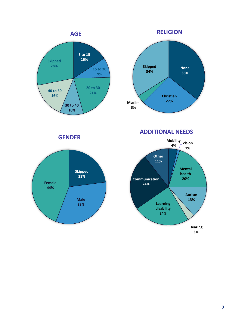



**GENDER Mobility**



**ADDITIONAL NEEDS**

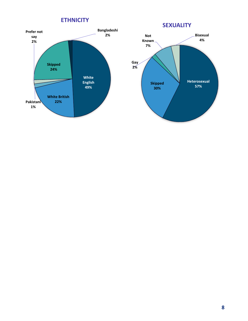**ETHNICITY**



**Heterosexual 57% Skipped 30% Gay 2% Not Known 7% Bisexual 4% SEXUALITY**

**8**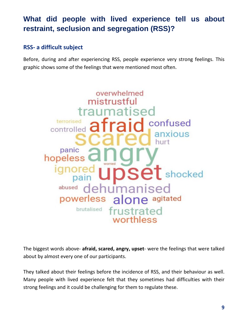# <span id="page-8-0"></span>**What did people with lived experience tell us about restraint, seclusion and segregation (RSS)?**

### <span id="page-8-1"></span>**RSS- a difficult subject**

Before, during and after experiencing RSS, people experience very strong feelings. This graphic shows some of the feelings that were mentioned most often.



The biggest words above- **afraid, scared, angry, upset**- were the feelings that were talked about by almost every one of our participants.

They talked about their feelings before the incidence of RSS, and their behaviour as well. Many people with lived experience felt that they sometimes had difficulties with their strong feelings and it could be challenging for them to regulate these.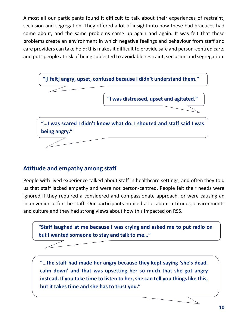Almost all our participants found it difficult to talk about their experiences of restraint, seclusion and segregation. They offered a lot of insight into how these bad practices had come about, and the same problems came up again and again. It was felt that these problems create an environment in which negative feelings and behaviour from staff and care providers can take hold; this makes it difficult to provide safe and person-centred care, and puts people at risk of being subjected to avoidable restraint, seclusion and segregation.



#### <span id="page-9-0"></span>**Attitude and empathy among staff**

People with lived experience talked about staff in healthcare settings, and often they told us that staff lacked empathy and were not person-centred. People felt their needs were ignored if they required a considered and compassionate approach, or were causing an inconvenience for the staff. Our participants noticed a lot about attitudes, environments and culture and they had strong views about how this impacted on RSS.



**"…the staff had made her angry because they kept saying 'she's dead, calm down' and that was upsetting her so much that she got angry instead. If you take time to listen to her, she can tell you things like this, but it takes time and she has to trust you."**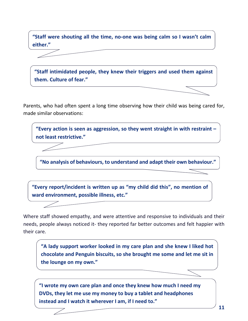**"Staff were shouting all the time, no-one was being calm so I wasn't calm either."**

**"Staff intimidated people, they knew their triggers and used them against them. Culture of fear."**

Parents, who had often spent a long time observing how their child was being cared for, made similar observations:

**"Every action is seen as aggression, so they went straight in with restraint – not least restrictive."**

**"No analysis of behaviours, to understand and adapt their own behaviour."**

**"Every report/incident is written up as "my child did this", no mention of ward environment, possible illness, etc."**

Where staff showed empathy, and were attentive and responsive to individuals and their needs, people always noticed it- they reported far better outcomes and felt happier with their care.

**"A lady support worker looked in my care plan and she knew I liked hot chocolate and Penguin biscuits, so she brought me some and let me sit in the lounge on my own."**

**"I wrote my own care plan and once they knew how much I need my DVDs, they let me use my money to buy a tablet and headphones instead and I watch it wherever I am, if I need to."**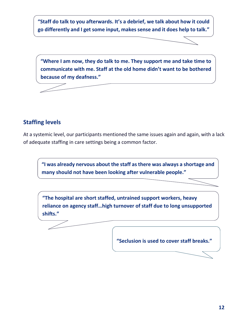**"Staff do talk to you afterwards. It's a debrief, we talk about how it could go differently and I get some input, makes sense and it does help to talk."**

**"Where I am now, they do talk to me. They support me and take time to communicate with me. Staff at the old home didn't want to be bothered because of my deafness."**

#### <span id="page-11-0"></span>**Staffing levels**

At a systemic level, our participants mentioned the same issues again and again, with a lack of adequate staffing in care settings being a common factor.

**"I was already nervous about the staff as there was always a shortage and many should not have been looking after vulnerable people."**

**"The hospital are short staffed, untrained support workers, heavy reliance on agency staff…high turnover of staff due to long unsupported shifts."**

**"Seclusion is used to cover staff breaks."**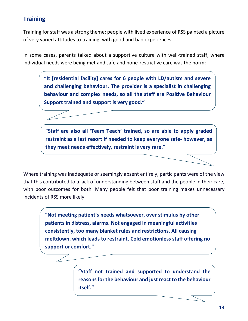#### <span id="page-12-0"></span>**Training**

Training for staff was a strong theme; people with lived experience of RSS painted a picture of very varied attitudes to training, with good and bad experiences.

In some cases, parents talked about a supportive culture with well-trained staff, where individual needs were being met and safe and none-restrictive care was the norm:

> **"It [residential facility] cares for 6 people with LD/autism and severe and challenging behaviour. The provider is a specialist in challenging behaviour and complex needs, so all the staff are Positive Behaviour Support trained and support is very good."**

> **"Staff are also all 'Team Teach' trained, so are able to apply graded restraint as a last resort if needed to keep everyone safe- however, as they meet needs effectively, restraint is very rare."**

Where training was inadequate or seemingly absent entirely, participants were of the view that this contributed to a lack of understanding between staff and the people in their care, with poor outcomes for both. Many people felt that poor training makes unnecessary incidents of RSS more likely.

> **"Not meeting patient's needs whatsoever, over stimulus by other patients in distress, alarms. Not engaged in meaningful activities consistently, too many blanket rules and restrictions. All causing meltdown, which leads to restraint. Cold emotionless staff offering no support or comfort."**

> > **"Staff not trained and supported to understand the reasons for the behaviour and just react to the behaviour itself."**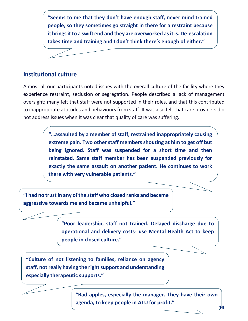**"Seems to me that they don't have enough staff, never mind trained people, so they sometimes go straight in there for a restraint because it brings it to a swift end and they are overworked as it is. De-escalation takes time and training and I don't think there's enough of either."**

#### <span id="page-13-0"></span>**Institutional culture**

Almost all our participants noted issues with the overall culture of the facility where they experience restraint, seclusion or segregation. People described a lack of management oversight; many felt that staff were not supported in their roles, and that this contributed to inappropriate attitudes and behaviours from staff. It was also felt that care providers did not address issues when it was clear that quality of care was suffering.

> **"…assaulted by a member of staff, restrained inappropriately causing extreme pain. Two other staff members shouting at him to get off but being ignored. Staff was suspended for a short time and then reinstated. Same staff member has been suspended previously for exactly the same assault on another patient. He continues to work there with very vulnerable patients."**

**"I had no trust in any of the staff who closed ranks and became aggressive towards me and became unhelpful."**

> **"Poor leadership, staff not trained. Delayed discharge due to operational and delivery costs- use Mental Health Act to keep people in closed culture."**

**"Culture of not listening to families, reliance on agency staff, not really having the right support and understanding especially therapeutic supports."**

> **"Bad apples, especially the manager. They have their own agenda, to keep people in ATU for profit."**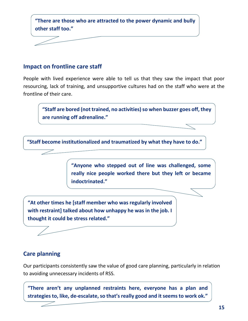

#### <span id="page-14-0"></span>**Impact on frontline care staff**

People with lived experience were able to tell us that they saw the impact that poor resourcing, lack of training, and unsupportive cultures had on the staff who were at the frontline of their care.

**"Staff are bored (not trained, no activities) so when buzzer goes off, they are running off adrenaline."**

**"Staff become institutionalized and traumatized by what they have to do."**

**"Anyone who stepped out of line was challenged, some really nice people worked there but they left or became indoctrinated."**

**"At other times he [staff member who was regularly involved with restraint] talked about how unhappy he was in the job. I thought it could be stress related."**

<span id="page-14-1"></span>**Care planning**

Our participants consistently saw the value of good care planning, particularly in relation to avoiding unnecessary incidents of RSS.

**"There aren't any unplanned restraints here, everyone has a plan and strategies to, like, de-escalate, so that's really good and it seems to work ok."**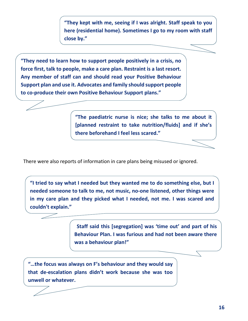**"They kept with me, seeing if I was alright. Staff speak to you here (residential home). Sometimes I go to my room with staff close by."**

**"They need to learn how to support people positively in a crisis, no force first, talk to people, make a care plan. Restraint is a last resort. Any member of staff can and should read your Positive Behaviour Support plan and use it. Advocates and family should support people to co-produce their own Positive Behaviour Support plans."**

> **"The paediatric nurse is nice; she talks to me about it [planned restraint to take nutrition/fluids] and if she's there beforehand I feel less scared."**

There were also reports of information in care plans being misused or ignored.

**"I tried to say what I needed but they wanted me to do something else, but I needed someone to talk to me, not music, no-one listened, other things were in my care plan and they picked what I needed, not me. I was scared and couldn't explain."**

> "**Staff said this [segregation] was 'time out' and part of his Behaviour Plan. I was furious and had not been aware there was a behaviour plan!"**

**"…the focus was always on F's behaviour and they would say that de-escalation plans didn't work because she was too unwell or whatever.**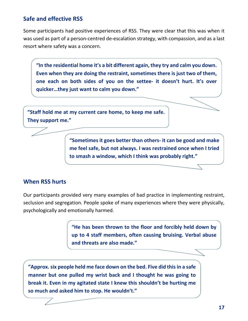#### <span id="page-16-0"></span>**Safe and effective RSS**

Some participants had positive experiences of RSS. They were clear that this was when it was used as part of a person-centred de-escalation strategy, with compassion, and as a last resort where safety was a concern.

**"In the residential home it's a bit different again, they try and calm you down. Even when they are doing the restraint, sometimes there is just two of them, one each on both sides of you on the settee- it doesn't hurt. It's over quicker…they just want to calm you down."**

**"Staff hold me at my current care home, to keep me safe. They support me."**

> **"Sometimes it goes better than others- it can be good and make me feel safe, but not always. I was restrained once when I tried to smash a window, which I think was probably right."**

#### <span id="page-16-1"></span>**When RSS hurts**

Our participants provided very many examples of bad practice in implementing restraint, seclusion and segregation. People spoke of many experiences where they were physically, psychologically and emotionally harmed.

> **"He has been thrown to the floor and forcibly held down by up to 4 staff members, often causing bruising. Verbal abuse and threats are also made."**

**"Approx. six people held me face down on the bed. Five did this in a safe manner but one pulled my wrist back and I thought he was going to break it. Even in my agitated state I knew this shouldn't be hurting me so much and asked him to stop. He wouldn't."**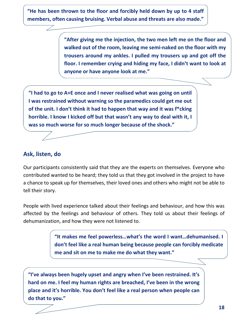**"He has been thrown to the floor and forcibly held down by up to 4 staff members, often causing bruising. Verbal abuse and threats are also made."**

> **"After giving me the injection, the two men left me on the floor and walked out of the room, leaving me semi-naked on the floor with my trousers around my ankles. I pulled my trousers up and got off the floor. I remember crying and hiding my face, I didn't want to look at anyone or have anyone look at me."**

**"I had to go to A+E once and I never realised what was going on until I was restrained without warning so the paramedics could get me out of the unit. I don't think it had to happen that way and it was f\*cking horrible. I know I kicked off but that wasn't any way to deal with it, I was so much worse for so much longer because of the shock."**

#### <span id="page-17-0"></span>**Ask, listen, do**

Our participants consistently said that they are the experts on themselves. Everyone who contributed wanted to be heard; they told us that they got involved in the project to have a chance to speak up for themselves, their loved ones and others who might not be able to tell their story.

People with lived experience talked about their feelings and behaviour, and how this was affected by the feelings and behaviour of others. They told us about their feelings of dehumanization, and how they were not listened to.

> **"It makes me feel powerless…what's the word I want…dehumanised. I don't feel like a real human being because people can forcibly medicate me and sit on me to make me do what they want."**

**"I've always been hugely upset and angry when I've been restrained. It's hard on me. I feel my human rights are breached, I've been in the wrong place and it's horrible. You don't feel like a real person when people can do that to you."**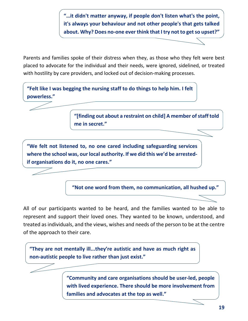**"…it didn't matter anyway, if people don't listen what's the point, it's always your behaviour and not other people's that gets talked about. Why? Does no-one ever think that I try not to get so upset?"**

Parents and families spoke of their distress when they, as those who they felt were best placed to advocate for the individual and their needs, were ignored, sidelined, or treated with hostility by care providers, and locked out of decision-making processes.

**"Felt like I was begging the nursing staff to do things to help him. I felt powerless."**

> **"[finding out about a restraint on child] A member of staff told me in secret."**

**"We felt not listened to, no one cared including safeguarding services where the school was, our local authority. If we did this we'd be arrestedif organisations do it, no one cares."**

**"Not one word from them, no communication, all hushed up."**

All of our participants wanted to be heard, and the families wanted to be able to represent and support their loved ones. They wanted to be known, understood, and treated as individuals, and the views, wishes and needs of the person to be at the centre of the approach to their care.

**"They are not mentally ill...they're autistic and have as much right as non-autistic people to live rather than just exist."**

> **"Community and care organisations should be user-led, people with lived experience. There should be more involvement from families and advocates at the top as well."**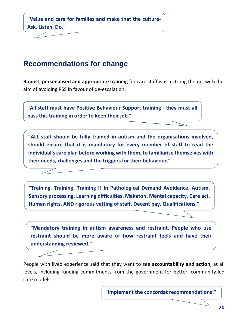**"Value and care for families and make that the culture-Ask, Listen, Do."**

## <span id="page-19-0"></span>**Recommendations for change**

**Robust, personalised and appropriate training** for care staff was a strong theme, with the aim of avoiding RSS in favour of de-escalation:

**"All staff must have Positive Behaviour Support training - they must all pass this training in order to keep their job "**

**"ALL staff should be fully trained in autism and the organisations involved, should ensure that it is mandatory for every member of staff to read the individual's care plan before working with them, to familiarise themselves with their needs, challenges and the triggers for their behaviour."**

**"Training. Training. Training!!! In Pathological Demand Avoidance. Autism. Sensory processing. Learning difficulties. Makaton. Mental capacity. Care act. Human rights. AND rigorous vetting of staff. Decent pay. Qualifications."**

**"Mandatory training in autism awareness and restraint. People who use restraint should be more aware of how restraint feels and have their understanding reviewed."**

People with lived experience said that they want to see **accountability and action**, at all levels, including funding commitments from the government for better, community-led care models.

"**Implement the concordat recommendations!"**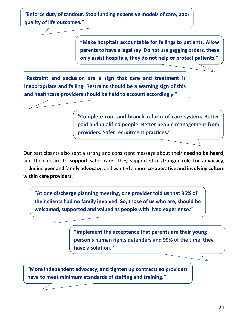**"Enforce duty of candour. Stop funding expensive models of care, poor quality of life outcomes."**

> **"Make hospitals accountable for failings to patients. Allow parents to have a legal say. Do not use gagging orders, these only assist hospitals, they do not help or protect patients."**

**"Restraint and seclusion are a sign that care and treatment is inappropriate and failing. Restraint should be a warning sign of this and healthcare providers should be held to account accordingly."**

> **"Complete root and branch reform of care system. Better paid and qualified people. Better people management from providers. Safer recruitment practices."**

Our participants also sent a strong and consistent message about their **need to be heard**, and their desire to **support safer care**. They supported **a stronger role for advocacy**, including **peer and family advocacy**, and wanted a more **co-operative and involving culture within care providers**.

"**At one discharge planning meeting, one provider told us that 95% of their clients had no family involved. So, those of us who are, should be welcomed, supported and valued as people with lived experience."**

> **"Implement the acceptance that parents are their young person's human rights defenders and 99% of the time, they have a solution."**

**"More independent advocacy, and tighten up contracts so providers have to meet minimum standards of staffing and training."**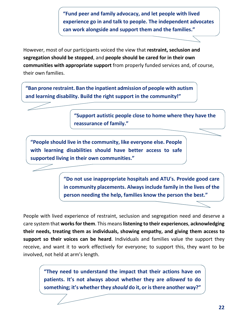**"Fund peer and family advocacy, and let people with lived experience go in and talk to people. The independent advocates can work alongside and support them and the families."**

However, most of our participants voiced the view that **restraint, seclusion and segregation should be stopped**, and **people should be cared for in their own communities with appropriate support** from properly funded services and, of course, their own families.

**"Ban prone restraint. Ban the inpatient admission of people with autism and learning disability. Build the right support in the community!"**

> **"Support autistic people close to home where they have the reassurance of family."**

**"People should live in the community, like everyone else. People with learning disabilities should have better access to safe supported living in their own communities."**

> **"Do not use inappropriate hospitals and ATU's. Provide good care in community placements. Always include family in the lives of the person needing the help, families know the person the best."**

People with lived experience of restraint, seclusion and segregation need and deserve a care system that **works for them**. This means **listening to their experiences**, **acknowledging their needs, treating them as individuals, showing empathy, and giving them access to support so their voices can be heard**. Individuals and families value the support they receive, and want it to work effectively for everyone; to support this, they want to be involved, not held at arm's length.

**"They need to understand the impact that their actions have on patients. It's not always about whether they are** *allowed* **to do something; it's whether they** *should* **do it, or is there another way?"**